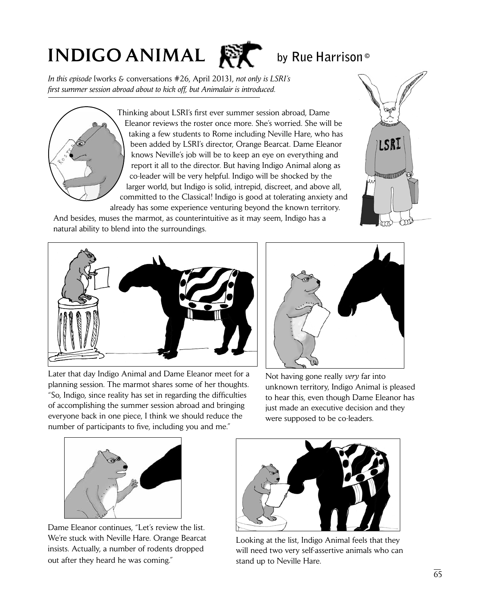## **INDIGO ANIMAL EX by Rue Harrison ©**



*In this episode* [works & conversations #26, April 2013], *not only is LSRI's first summer session abroad about to kick off, but Animalair is introduced.* 



Thinking about LSRI's first ever summer session abroad, Dame Eleanor reviews the roster once more. She's worried. She will be taking a few students to Rome including Neville Hare, who has been added by LSRI's director, Orange Bearcat. Dame Eleanor knows Neville's job will be to keep an eye on everything and report it all to the director. But having Indigo Animal along as co-leader will be very helpful. Indigo will be shocked by the larger world, but Indigo is solid, intrepid, discreet, and above all, committed to the Classical! Indigo is good at tolerating anxiety and already has some experience venturing beyond the known territory.

And besides, muses the marmot, as counterintuitive as it may seem, Indigo has a natural ability to blend into the surroundings.









Not having gone really *very* far into unknown territory, Indigo Animal is pleased to hear this, even though Dame Eleanor has just made an executive decision and they were supposed to be co-leaders.



Dame Eleanor continues, "Let's review the list. We're stuck with Neville Hare. Orange Bearcat insists. Actually, a number of rodents dropped out after they heard he was coming."



Looking at the list, Indigo Animal feels that they will need two very self-assertive animals who can stand up to Neville Hare.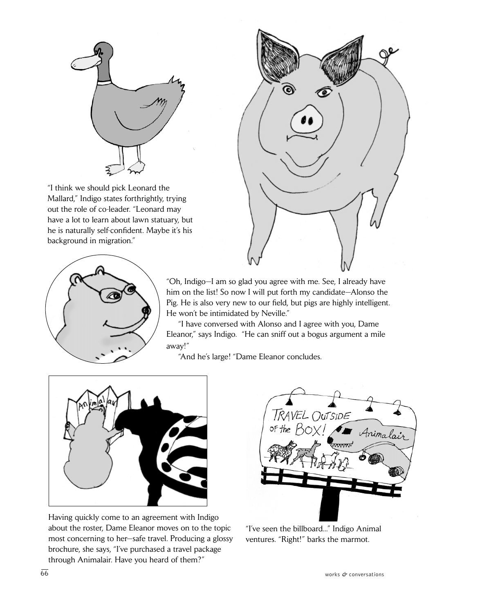

"I think we should pick Leonard the Mallard," Indigo states forthrightly, trying out the role of co-leader. "Leonard may have a lot to learn about lawn statuary, but he is naturally self-confident. Maybe it's his background in migration."



"Oh, Indigo—I am so glad you agree with me. See, I already have him on the list! So now I will put forth my candidate—Alonso the Pig. He is also very new to our field, but pigs are highly intelligent. He won't be intimidated by Neville."

 "I have conversed with Alonso and I agree with you, Dame Eleanor," says Indigo. "He can sniff out a bogus argument a mile away!"

"And he's large! "Dame Eleanor concludes.



Having quickly come to an agreement with Indigo about the roster, Dame Eleanor moves on to the topic most concerning to her—safe travel. Producing a glossy brochure, she says, "I've purchased a travel package through Animalair. Have you heard of them?"



"I've seen the billboard..." Indigo Animal ventures. "Right!" barks the marmot.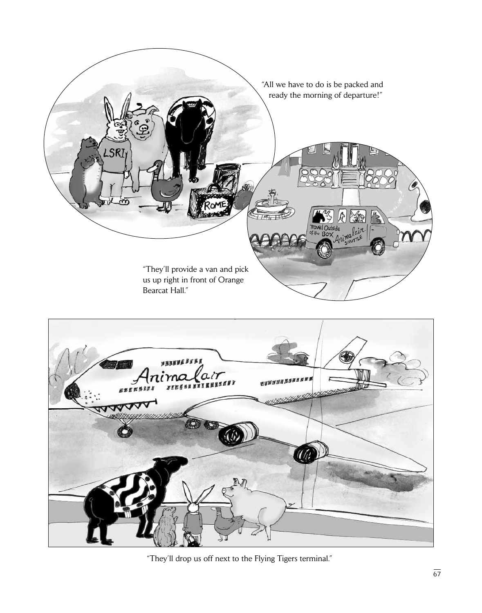

"They'll drop us off next to the Flying Tigers terminal."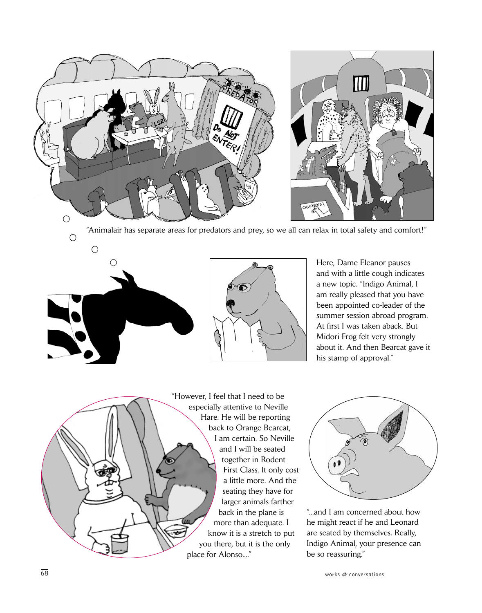

"Animalair has separate areas for predators and prey, so we all can relax in total safety and comfort!"



 $\bigcirc$ 



Here, Dame Eleanor pauses and with a little cough indicates a new topic. "Indigo Animal, I am really pleased that you have been appointed co-leader of the summer session abroad program. At first I was taken aback. But Midori Frog felt very strongly about it. And then Bearcat gave it his stamp of approval."

"However, I feel that I need to be especially attentive to Neville Hare. He will be reporting back to Orange Bearcat, I am certain. So Neville and I will be seated together in Rodent First Class. It only cost a little more. And the seating they have for larger animals farther back in the plane is more than adequate. I know it is a stretch to put you there, but it is the only place for Alonso...."



"...and I am concerned about how he might react if he and Leonard are seated by themselves. Really, Indigo Animal, your presence can be so reassuring."